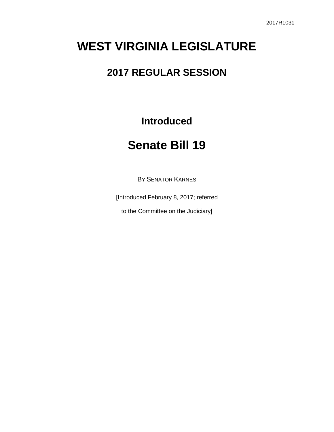# **WEST VIRGINIA LEGISLATURE**

### **2017 REGULAR SESSION**

**Introduced**

## **Senate Bill 19**

BY SENATOR KARNES

[Introduced February 8, 2017; referred

to the Committee on the Judiciary]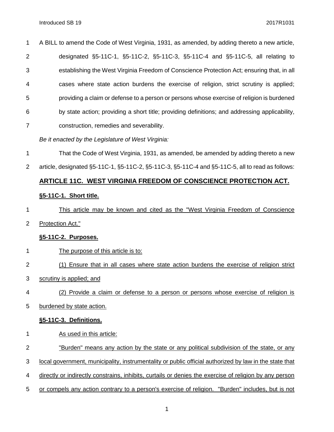| $\mathbf 1$    | A BILL to amend the Code of West Virginia, 1931, as amended, by adding thereto a new article,  |
|----------------|------------------------------------------------------------------------------------------------|
| $\overline{2}$ | designated §5-11C-1, §5-11C-2, §5-11C-3, §5-11C-4 and §5-11C-5, all relating to                |
| 3              | establishing the West Virginia Freedom of Conscience Protection Act; ensuring that, in all     |
| 4              | cases where state action burdens the exercise of religion, strict scrutiny is applied;         |
| 5              | providing a claim or defense to a person or persons whose exercise of religion is burdened     |
| 6              | by state action; providing a short title; providing definitions; and addressing applicability, |
| $\overline{7}$ | construction, remedies and severability.                                                       |
|                |                                                                                                |

- *Be it enacted by the Legislature of West Virginia:*
- That the Code of West Virginia, 1931, as amended, be amended by adding thereto a new
- article, designated §5-11C-1, §5-11C-2, §5-11C-3, §5-11C-4 and §5-11C-5, all to read as follows:

#### **ARTICLE 11C. WEST VIRGINIA FREEDOM OF CONSCIENCE PROTECTION ACT.**

#### **§5-11C-1. Short title.**

- 1 This article may be known and cited as the "West Virginia Freedom of Conscience
- Protection Act."

#### **§5-11C-2. Purposes.**

- 1 The purpose of this article is to:
- (1) Ensure that in all cases where state action burdens the exercise of religion strict
- scrutiny is applied; and
- (2) Provide a claim or defense to a person or persons whose exercise of religion is
- burdened by state action.

#### **§5-11C-3. Definitions.**

- As used in this article:
- "Burden" means any action by the state or any political subdivision of the state, or any
- local government, municipality, instrumentality or public official authorized by law in the state that
- directly or indirectly constrains, inhibits, curtails or denies the exercise of religion by any person
- or compels any action contrary to a person's exercise of religion. "Burden" includes, but is not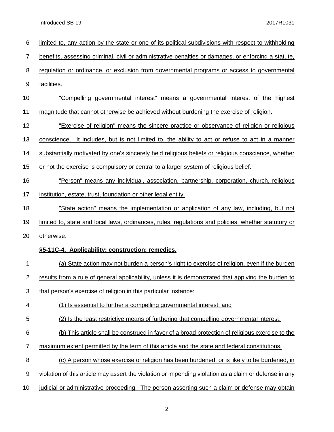| 6              | limited to, any action by the state or one of its political subdivisions with respect to withholding   |
|----------------|--------------------------------------------------------------------------------------------------------|
| 7              | benefits, assessing criminal, civil or administrative penalties or damages, or enforcing a statute,    |
| 8              | regulation or ordinance, or exclusion from governmental programs or access to governmental             |
| 9              | facilities.                                                                                            |
| 10             | "Compelling governmental interest" means a governmental interest of the highest                        |
| 11             | magnitude that cannot otherwise be achieved without burdening the exercise of religion.                |
| 12             | "Exercise of religion" means the sincere practice or observance of religion or religious               |
| 13             | conscience. It includes, but is not limited to, the ability to act or refuse to act in a manner        |
| 14             | substantially motivated by one's sincerely held religious beliefs or religious conscience, whether     |
| 15             | or not the exercise is compulsory or central to a larger system of religious belief.                   |
| 16             | "Person" means any individual, association, partnership, corporation, church, religious                |
| 17             | institution, estate, trust, foundation or other legal entity.                                          |
| 18             | "State action" means the implementation or application of any law, including, but not                  |
| 19             | limited to, state and local laws, ordinances, rules, regulations and policies, whether statutory or    |
| 20             | otherwise.                                                                                             |
|                | §5-11C-4. Applicability; construction; remedies.                                                       |
| 1              | (a) State action may not burden a person's right to exercise of religion, even if the burden           |
| $\overline{2}$ | results from a rule of general applicability, unless it is demonstrated that applying the burden to    |
| 3              | that person's exercise of religion in this particular instance:                                        |
| 4              | (1) Is essential to further a compelling governmental interest; and                                    |
| 5              | (2) Is the least restrictive means of furthering that compelling governmental interest.                |
| 6              | (b) This article shall be construed in favor of a broad protection of religious exercise to the        |
| $\overline{7}$ | maximum extent permitted by the term of this article and the state and federal constitutions.          |
| 8              | (c) A person whose exercise of religion has been burdened, or is likely to be burdened, in             |
| 9              | violation of this article may assert the violation or impending violation as a claim or defense in any |
| 10             | judicial or administrative proceeding. The person asserting such a claim or defense may obtain         |